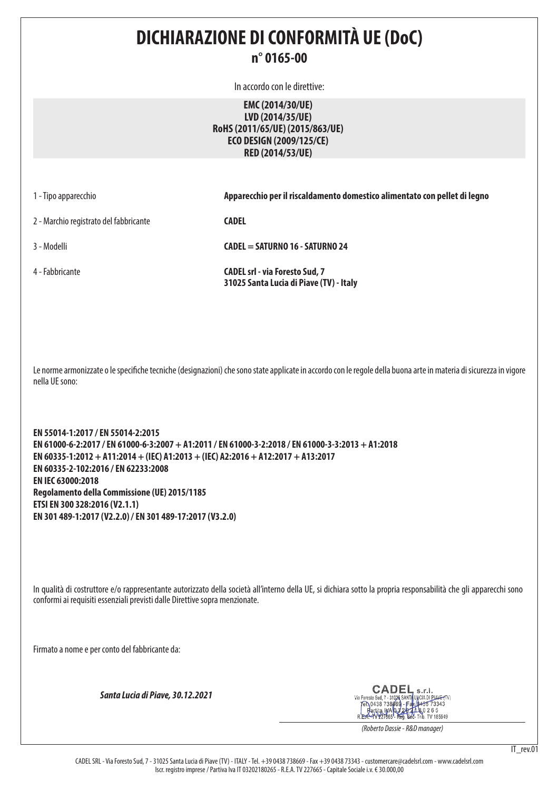### **DICHIARAZIONE DI CONFORMITÀ UE (DoC) n° 0165-00**

In accordo con le direttive:

**EMC (2014/30/UE) LVD (2014/35/UE) RoHS (2011/65/UE) (2015/863/UE) ECO DESIGN (2009/125/CE) RED (2014/53/UE)**

1 - Tipo apparecchio **Apparecchio per il riscaldamento domestico alimentato con pellet di legno**

2 - Marchio registrato del fabbricante **CADEL** 

3 - Modelli **CADEL = SATURNO 16 - SATURNO 24**

4 - Fabbricante **CADEL srl - via Foresto Sud, 7 31025 Santa Lucia di Piave (TV) - Italy**

Le norme armonizzate o le specifiche tecniche (designazioni) che sono state applicate in accordo con le regole della buona arte in materia di sicurezza in vigore nella UE sono:

**EN 55014-1:2017 / EN 55014-2:2015 EN 61000-6-2:2017 / EN 61000-6-3:2007 + A1:2011 / EN 61000-3-2:2018 / EN 61000-3-3:2013 + A1:2018 EN 60335-1:2012 + A11:2014 + (IEC) A1:2013 + (IEC) A2:2016 + A12:2017 + A13:2017 EN 60335-2-102:2016 / EN 62233:2008 EN IEC 63000:2018 Regolamento della Commissione (UE) 2015/1185 ETSI EN 300 328:2016 (V2.1.1) EN 301 489-1:2017 (V2.2.0) / EN 301 489-17:2017 (V3.2.0)**

In qualità di costruttore e/o rappresentante autorizzato della società all'interno della UE, si dichiara sotto la propria responsabilità che gli apparecchi sono conformi ai requisiti essenziali previsti dalle Direttive sopra menzionate.

Firmato a nome e per conto del fabbricante da:

*Santa Lucia di Piave, 30.12.2021*

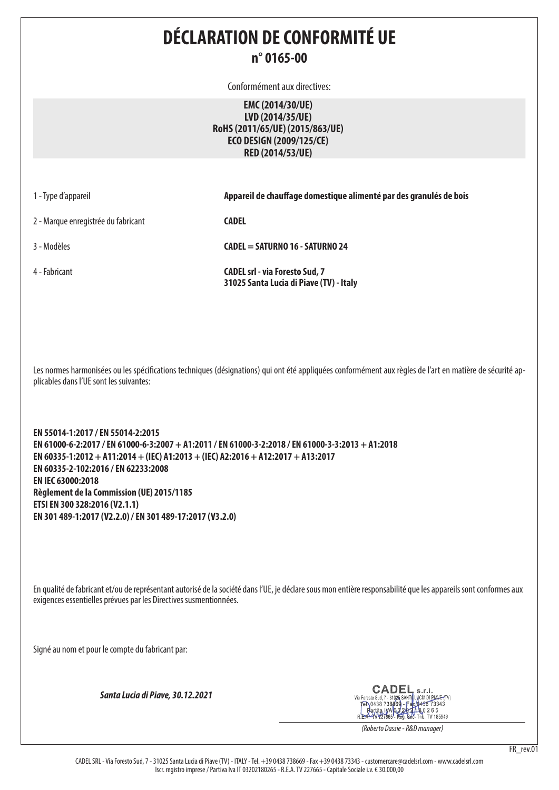### **DÉCLARATION DE CONFORMITÉ UE n° 0165-00**

Conformément aux directives:

**EMC (2014/30/UE) LVD (2014/35/UE) RoHS (2011/65/UE) (2015/863/UE) ECO DESIGN (2009/125/CE) RED (2014/53/UE)**

| 1 - Type d'appareil |  |  |  |  |  |  |
|---------------------|--|--|--|--|--|--|
|---------------------|--|--|--|--|--|--|

Appareil de chauffage domestique alimenté par des granulés de bois

2 - Marque enregistrée du fabricant **CADEL** 

3 - Modèles **CADEL = SATURNO 16 - SATURNO 24**

4 - Fabricant **CADEL srl - via Foresto Sud, 7 31025 Santa Lucia di Piave (TV) - Italy**

Les normes harmonisées ou les spécifications techniques (désignations) qui ont été appliquées conformément aux règles de l'art en matière de sécurité applicables dans l'UE sont les suivantes:

**EN 55014-1:2017 / EN 55014-2:2015 EN 61000-6-2:2017 / EN 61000-6-3:2007 + A1:2011 / EN 61000-3-2:2018 / EN 61000-3-3:2013 + A1:2018 EN 60335-1:2012 + A11:2014 + (IEC) A1:2013 + (IEC) A2:2016 + A12:2017 + A13:2017 EN 60335-2-102:2016 / EN 62233:2008 EN IEC 63000:2018 Règlement de la Commission (UE) 2015/1185 ETSI EN 300 328:2016 (V2.1.1) EN 301 489-1:2017 (V2.2.0) / EN 301 489-17:2017 (V3.2.0)**

En qualité de fabricant et/ou de représentant autorisé de la société dans l'UE, je déclare sous mon entière responsabilité que les appareils sont conformes aux exigences essentielles prévues par les Directives susmentionnées.

Signé au nom et pour le compte du fabricant par:

*Santa Lucia di Piave, 30.12.2021*

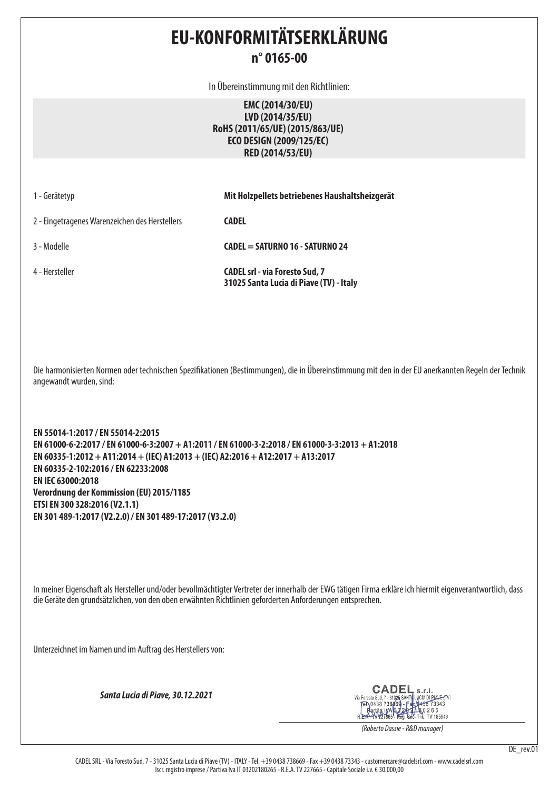## **EU-KONFORMITÄTSERKLÄRUNG n° 0165-00**

In Übereinstimmung mit den Richtlinien:

**EMC (2014/30/EU) LVD (2014/35/EU) RoHS (2011/65/UE) (2015/863/UE) ECO DESIGN (2009/125/EC) RED (2014/53/EU)**

| 1 - Gerätetyp                                  | Mit Holzpellets betriebenes Haushaltsheizgerät                                   |
|------------------------------------------------|----------------------------------------------------------------------------------|
| 2 - Eingetragenes Warenzeichen des Herstellers | <b>CADEL</b>                                                                     |
| 3 - Modelle                                    | CADEL = SATURNO 16 - SATURNO 24                                                  |
| 4 - Hersteller                                 | <b>CADEL srl - via Foresto Sud, 7</b><br>31025 Santa Lucia di Piave (TV) - Italy |

Die harmonisierten Normen oder technischen Spezifikationen (Bestimmungen), die in Übereinstimmung mit den in der EU anerkannten Regeln der Technik angewandt wurden, sind:

**EN 55014-1:2017 / EN 55014-2:2015 EN 61000-6-2:2017 / EN 61000-6-3:2007 + A1:2011 / EN 61000-3-2:2018 / EN 61000-3-3:2013 + A1:2018 EN 60335-1:2012 + A11:2014 + (IEC) A1:2013 + (IEC) A2:2016 + A12:2017 + A13:2017 EN 60335-2-102:2016 / EN 62233:2008 EN IEC 63000:2018 Verordnung der Kommission (EU) 2015/1185 ETSI EN 300 328:2016 (V2.1.1) EN 301 489-1:2017 (V2.2.0) / EN 301 489-17:2017 (V3.2.0)**

In meiner Eigenschaft als Hersteller und/oder bevollmächtigter Vertreter der innerhalb der EWG tätigen Firma erkläre ich hiermit eigenverantwortlich, dass die Geräte den grundsätzlichen, von den oben erwähnten Richtlinien geforderten Anforderungen entsprechen.

Unterzeichnet im Namen und im Auftrag des Herstellers von:

*Santa Lucia di Piave, 30.12.2021*

CADEI  $c.r.$ 31026 SANTA LUCIA DI PIAV<del>E (</del>TV<br>- 31026 SANTA LUCIA DI PIAV<del>E (</del>TV<br>38869 - Fax (0438 73343 Via Foresto Sud, 7 - 31026 **BOC-Trib.** TV 185949 Partita IMA 03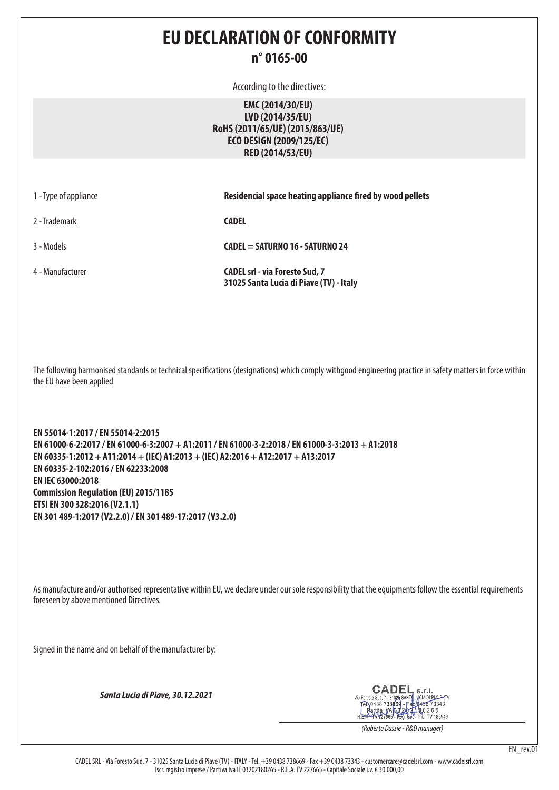### **EU DECLARATION OF CONFORMITY n° 0165-00**

According to the directives:

**EMC (2014/30/EU) LVD (2014/35/EU) RoHS (2011/65/UE) (2015/863/UE) ECO DESIGN (2009/125/EC) RED (2014/53/EU)**

| 1 - Type of appliance | Residencial space heating appliance fired by wood pellets                        |
|-----------------------|----------------------------------------------------------------------------------|
| 2 - Trademark         | <b>CADEL</b>                                                                     |
| 3 - Models            | CADEL = SATURNO 16 - SATURNO 24                                                  |
| 4 - Manufacturer      | <b>CADEL srl - via Foresto Sud, 7</b><br>31025 Santa Lucia di Piave (TV) - Italy |

The following harmonised standards or technical specifications (designations) which comply withgood engineering practice in safety matters in force within the EU have been applied

**EN 55014-1:2017 / EN 55014-2:2015 EN 61000-6-2:2017 / EN 61000-6-3:2007 + A1:2011 / EN 61000-3-2:2018 / EN 61000-3-3:2013 + A1:2018 EN 60335-1:2012 + A11:2014 + (IEC) A1:2013 + (IEC) A2:2016 + A12:2017 + A13:2017 EN 60335-2-102:2016 / EN 62233:2008 EN IEC 63000:2018 Commission Regulation (EU) 2015/1185 ETSI EN 300 328:2016 (V2.1.1) EN 301 489-1:2017 (V2.2.0) / EN 301 489-17:2017 (V3.2.0)**

As manufacture and/or authorised representative within EU, we declare under our sole responsibility that the equipments follow the essential requirements foreseen by above mentioned Directives.

Signed in the name and on behalf of the manufacturer by:

*Santa Lucia di Piave, 30.12.2021*

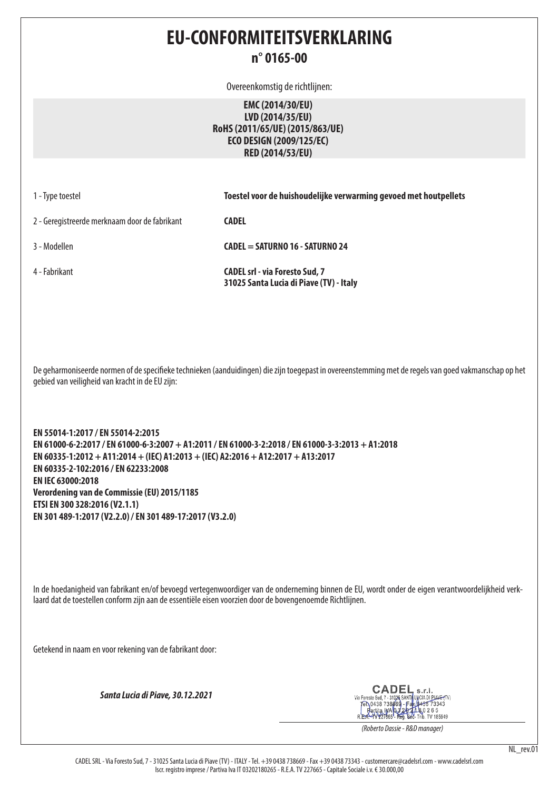### **EU-CONFORMITEITSVERKLARING n° 0165-00**

Overeenkomstig de richtlijnen:

**EMC (2014/30/EU) LVD (2014/35/EU) RoHS (2011/65/UE) (2015/863/UE) ECO DESIGN (2009/125/EC) RED (2014/53/EU)**

| 1 - Type toestel |  |
|------------------|--|
|------------------|--|

**Toestel voor de huishoudelijke verwarming gevoed met houtpellets** 

2 - Geregistreerde merknaam door de fabrikant **CADEL** 

3 - Modellen **CADEL = SATURNO 16 - SATURNO 24**

4 - Fabrikant **CADEL srl - via Foresto Sud, 7 31025 Santa Lucia di Piave (TV) - Italy**

De geharmoniseerde normen of de specifieke technieken (aanduidingen) die zijn toegepast in overeenstemming met de regels van goed vakmanschap op het gebied van veiligheid van kracht in de EU zijn:

**EN 55014-1:2017 / EN 55014-2:2015 EN 61000-6-2:2017 / EN 61000-6-3:2007 + A1:2011 / EN 61000-3-2:2018 / EN 61000-3-3:2013 + A1:2018 EN 60335-1:2012 + A11:2014 + (IEC) A1:2013 + (IEC) A2:2016 + A12:2017 + A13:2017 EN 60335-2-102:2016 / EN 62233:2008 EN IEC 63000:2018 Verordening van de Commissie (EU) 2015/1185 ETSI EN 300 328:2016 (V2.1.1) EN 301 489-1:2017 (V2.2.0) / EN 301 489-17:2017 (V3.2.0)**

In de hoedanigheid van fabrikant en/of bevoegd vertegenwoordiger van de onderneming binnen de EU, wordt onder de eigen verantwoordelijkheid verklaard dat de toestellen conform zijn aan de essentiële eisen voorzien door de bovengenoemde Richtlijnen.

Getekend in naam en voor rekening van de fabrikant door:

*Santa Lucia di Piave, 30.12.2021*

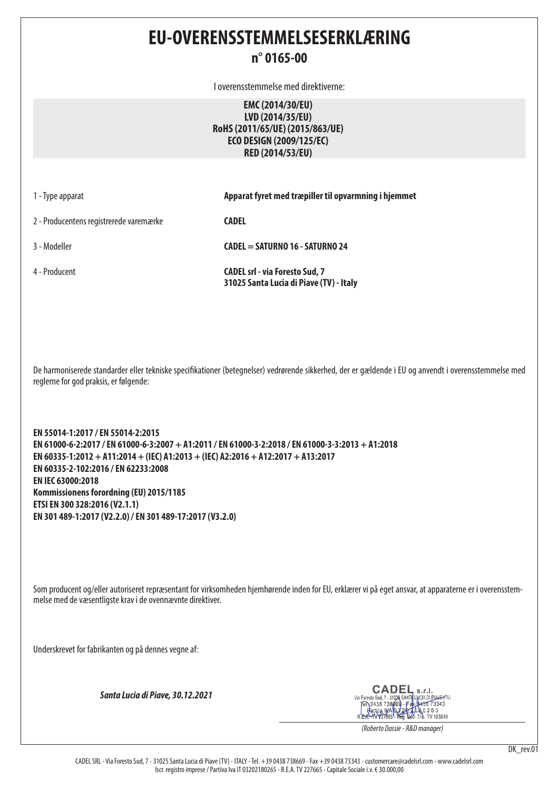# **EU-OVERENSSTEMMELSESERKLÆRING**

#### **n° 0165-00**

I overensstemmelse med direktiverne:

**EMC (2014/30/EU) LVD (2014/35/EU) RoHS (2011/65/UE) (2015/863/UE) ECO DESIGN (2009/125/EC) RED (2014/53/EU)**

| 1 - Type apparat |
|------------------|
|------------------|

1 - Type apparat **Apparat fyret med træpiller til opvarmning i hjemmet**

2 - Producentens registrerede varemærke **CADEL** 

3 - Modeller **CADEL = SATURNO 16 - SATURNO 24**

4 - Producent **CADEL srl - via Foresto Sud, 7 31025 Santa Lucia di Piave (TV) - Italy**

De harmoniserede standarder eller tekniske specifikationer (betegnelser) vedrørende sikkerhed, der er gældende i EU og anvendt i overensstemmelse med reglerne for god praksis, er følgende:

**EN 55014-1:2017 / EN 55014-2:2015 EN 61000-6-2:2017 / EN 61000-6-3:2007 + A1:2011 / EN 61000-3-2:2018 / EN 61000-3-3:2013 + A1:2018 EN 60335-1:2012 + A11:2014 + (IEC) A1:2013 + (IEC) A2:2016 + A12:2017 + A13:2017 EN 60335-2-102:2016 / EN 62233:2008 EN IEC 63000:2018 Kommissionens forordning (EU) 2015/1185 ETSI EN 300 328:2016 (V2.1.1) EN 301 489-1:2017 (V2.2.0) / EN 301 489-17:2017 (V3.2.0)**

Som producent og/eller autoriseret repræsentant for virksomheden hjemhørende inden for EU, erklærer vi på eget ansvar, at apparaterne er i overensstemmelse med de væsentligste krav i de ovennævnte direktiver.

Underskrevet for fabrikanten og på dennes vegne af:

*Santa Lucia di Piave, 30.12.2021*

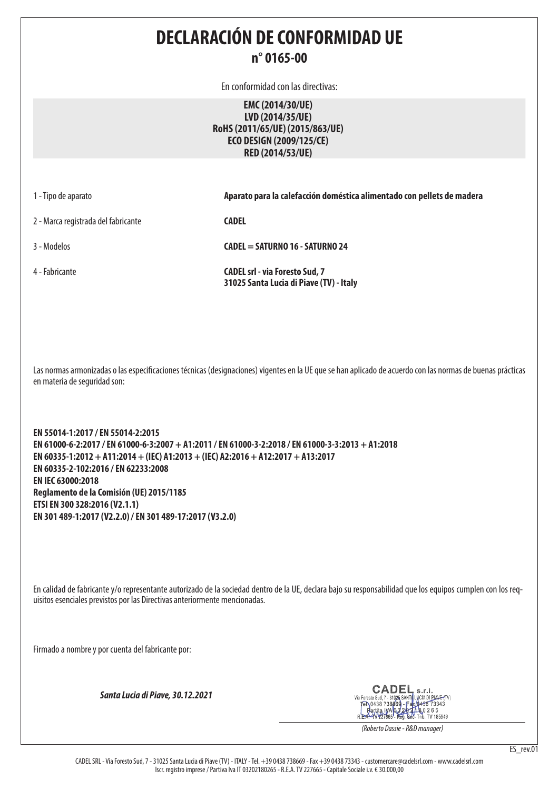**DECLARACIÓN DE CONFORMIDAD UE n° 0165-00**

En conformidad con las directivas:

**EMC (2014/30/UE) LVD (2014/35/UE) RoHS (2011/65/UE) (2015/863/UE) ECO DESIGN (2009/125/CE) RED (2014/53/UE)**

|  |  |  | 1 - Tipo de aparato |
|--|--|--|---------------------|
|--|--|--|---------------------|

1 - Tipo de aparato **Aparato para la calefacción doméstica alimentado con pellets de madera**

2 - Marca registrada del fabricante **CADEL** 

3 - Modelos **CADEL = SATURNO 16 - SATURNO 24**

4 - Fabricante **CADEL srl - via Foresto Sud, 7 31025 Santa Lucia di Piave (TV) - Italy**

Las normas armonizadas o las especificaciones técnicas (designaciones) vigentes en la UE que se han aplicado de acuerdo con las normas de buenas prácticas en materia de seguridad son:

**EN 55014-1:2017 / EN 55014-2:2015 EN 61000-6-2:2017 / EN 61000-6-3:2007 + A1:2011 / EN 61000-3-2:2018 / EN 61000-3-3:2013 + A1:2018 EN 60335-1:2012 + A11:2014 + (IEC) A1:2013 + (IEC) A2:2016 + A12:2017 + A13:2017 EN 60335-2-102:2016 / EN 62233:2008 EN IEC 63000:2018 Reglamento de la Comisión (UE) 2015/1185 ETSI EN 300 328:2016 (V2.1.1) EN 301 489-1:2017 (V2.2.0) / EN 301 489-17:2017 (V3.2.0)**

En calidad de fabricante y/o representante autorizado de la sociedad dentro de la UE, declara bajo su responsabilidad que los equipos cumplen con los requisitos esenciales previstos por las Directivas anteriormente mencionadas.

Firmado a nombre y por cuenta del fabricante por:

*Santa Lucia di Piave, 30.12.2021*

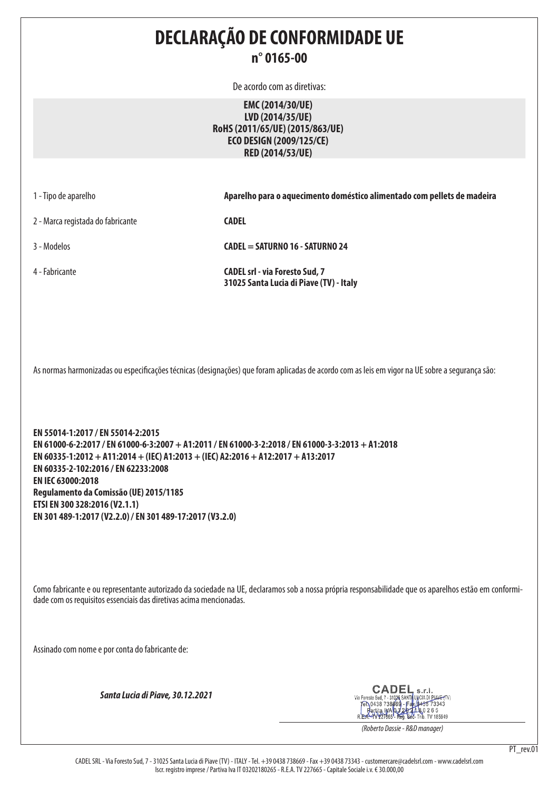**DECLARAÇÃO DE CONFORMIDADE UE n° 0165-00** De acordo com as diretivas: **EMC (2014/30/UE) LVD (2014/35/UE) RoHS (2011/65/UE) (2015/863/UE) ECO DESIGN (2009/125/CE) RED (2014/53/UE)** 1 - Tipo de aparelho **Aparelho para o aquecimento doméstico alimentado com pellets de madeira** 2 - Marca registada do fabricante **CADEL**  3 - Modelos **CADEL = SATURNO 16 - SATURNO 24** 4 - Fabricante **CADEL srl - via Foresto Sud, 7 31025 Santa Lucia di Piave (TV) - Italy** As normas harmonizadas ou especificações técnicas (designações) que foram aplicadas de acordo com as leis em vigor na UE sobre a segurança são: **EN 55014-1:2017 / EN 55014-2:2015 EN 61000-6-2:2017 / EN 61000-6-3:2007 + A1:2011 / EN 61000-3-2:2018 / EN 61000-3-3:2013 + A1:2018 EN 60335-1:2012 + A11:2014 + (IEC) A1:2013 + (IEC) A2:2016 + A12:2017 + A13:2017 EN 60335-2-102:2016 / EN 62233:2008 EN IEC 63000:2018 Regulamento da Comissão (UE) 2015/1185 ETSI EN 300 328:2016 (V2.1.1) EN 301 489-1:2017 (V2.2.0) / EN 301 489-17:2017 (V3.2.0)** Como fabricante e ou representante autorizado da sociedade na UE, declaramos sob a nossa própria responsabilidade que os aparelhos estão em conformidade com os requisitos essenciais das diretivas acima mencionadas. Assinado com nome e por conta do fabricante de: CADEI  $c.r.$ *Santa Lucia di Piave, 30.12.2021* Via Foresto Sud, 7 - 31026 SANTA LUCIA DI PIANE-(TV)<br>
FRICA DI 38 738669 - Fax (0435 73343<br>
Partita IMA 03 2021 R 0 2 6 5<br>
R.E.A.-TV 227665 - Reg. Soc-Trib. TV 185949

PT\_rev.01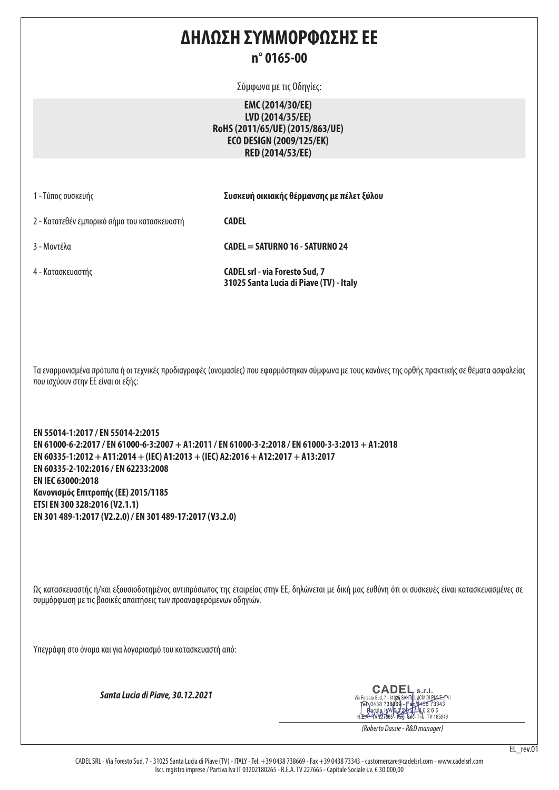### **ΔΗΛΩΣΗ ΣΥΜΜΟΡΦΩΣΗΣ ΕΕ n° 0165-00**

Σύμφωνα με τις Οδηγίες:

**EMC (2014/30/EE) LVD (2014/35/EE) RoHS (2011/65/UE) (2015/863/UE) ECO DESIGN (2009/125/EK) RED (2014/53/EE)**

|  |  | 1 - Τύπος συσκευής |
|--|--|--------------------|
|--|--|--------------------|

1 - Τύπος συσκευής **Συσκευή οικιακής θέρμανσης με πέλετ ξύλου**

2 - Κατατεθέν εμπορικό σήμα του κατασκευαστή **CADEL** 

3 - Μοντέλα **CADEL = SATURNO 16 - SATURNO 24**

4 - Κατασκευαστής **CADEL srl - via Foresto Sud, 7 31025 Santa Lucia di Piave (TV) - Italy**

Τα εναρμονισμένα πρότυπα ή οι τεχνικές προδιαγραφές (ονομασίες) που εφαρμόστηκαν σύμφωνα με τους κανόνες της ορθής πρακτικής σε θέματα ασφαλείας που ισχύουν στην ΕΕ είναι οι εξής:

**EN 55014-1:2017 / EN 55014-2:2015 EN 61000-6-2:2017 / EN 61000-6-3:2007 + A1:2011 / EN 61000-3-2:2018 / EN 61000-3-3:2013 + A1:2018 EN 60335-1:2012 + A11:2014 + (IEC) A1:2013 + (IEC) A2:2016 + A12:2017 + A13:2017 EN 60335-2-102:2016 / EN 62233:2008 EN IEC 63000:2018 Κανονισμός Επιτροπής (ΕΕ) 2015/1185 ETSI EN 300 328:2016 (V2.1.1) EN 301 489-1:2017 (V2.2.0) / EN 301 489-17:2017 (V3.2.0)**

Ως κατασκευαστής ή/και εξουσιοδοτημένος αντιπρόσωπος της εταιρείας στην ΕΕ, δηλώνεται με δική μας ευθύνη ότι οι συσκευές είναι κατασκευασμένες σε συμμόρφωση με τις βασικές απαιτήσεις των προαναφερόμενων οδηγιών.

Υπεγράφη στο όνομα και για λογαριασμό του κατασκευαστή από:

*Santa Lucia di Piave, 30.12.2021*

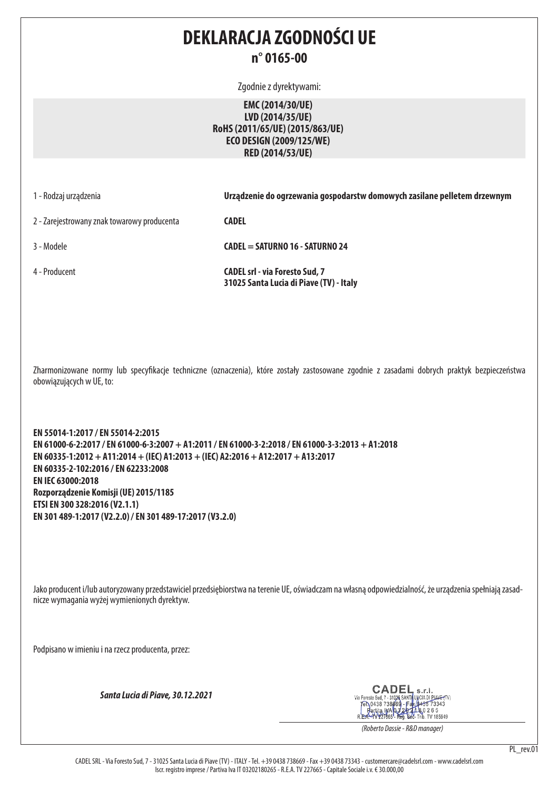### **DEKLARACJA ZGODNOŚCI UE n° 0165-00**

Zgodnie z dyrektywami:

**EMC (2014/30/UE) LVD (2014/35/UE) RoHS (2011/65/UE) (2015/863/UE) ECO DESIGN (2009/125/WE) RED (2014/53/UE)**

1 - Rodzaj urządzenia **Urządzenie do ogrzewania gospodarstw domowych zasilane pelletem drzewnym**

2 - Zarejestrowany znak towarowy producenta **CADEL** 

3 - Modele **CADEL = SATURNO 16 - SATURNO 24**

4 - Producent **CADEL srl - via Foresto Sud, 7** 

**31025 Santa Lucia di Piave (TV) - Italy**

Zharmonizowane normy lub specyfikacje techniczne (oznaczenia), które zostały zastosowane zgodnie z zasadami dobrych praktyk bezpieczeństwa obowiązujących w UE, to:

**EN 55014-1:2017 / EN 55014-2:2015 EN 61000-6-2:2017 / EN 61000-6-3:2007 + A1:2011 / EN 61000-3-2:2018 / EN 61000-3-3:2013 + A1:2018 EN 60335-1:2012 + A11:2014 + (IEC) A1:2013 + (IEC) A2:2016 + A12:2017 + A13:2017 EN 60335-2-102:2016 / EN 62233:2008 EN IEC 63000:2018 Rozporządzenie Komisji (UE) 2015/1185 ETSI EN 300 328:2016 (V2.1.1) EN 301 489-1:2017 (V2.2.0) / EN 301 489-17:2017 (V3.2.0)**

Jako producent i/lub autoryzowany przedstawiciel przedsiębiorstwa na terenie UE, oświadczam na własną odpowiedzialność, że urządzenia spełniają zasadnicze wymagania wyżej wymienionych dyrektyw.

Podpisano w imieniu i na rzecz producenta, przez:

*Santa Lucia di Piave, 30.12.2021*